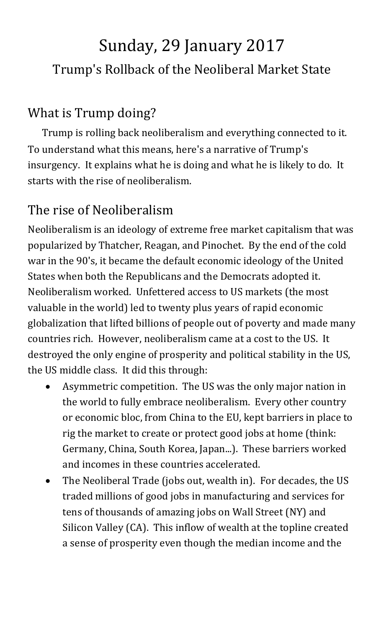# Sunday, 29 January 2017 Trump's Rollback of the Neoliberal Market State

## What is Trump doing?

Trump is rolling back neoliberalism and everything connected to it. To understand what this means, here's a narrative of Trump's insurgency. It explains what he is doing and what he is likely to do. It starts with the rise of neoliberalism.

## The rise of Neoliberalism

Neoliberalism is an ideology of extreme free market capitalism that was popularized by Thatcher, Reagan, and Pinochet. By the end of the cold war in the 90's, it became the default economic ideology of the United States when both the Republicans and the Democrats adopted it. Neoliberalism worked. Unfettered access to US markets (the most valuable in the world) led to twenty plus years of rapid economic globalization that lifted billions of people out of poverty and made many countries rich. However, neoliberalism came at a cost to the US. It destroyed the only engine of prosperity and political stability in the US, the US middle class. It did this through:

- Asymmetric competition. The US was the only major nation in the world to fully embrace neoliberalism. Every other country or economic bloc, from China to the EU, kept barriers in place to rig the market to create or protect good jobs at home (think: Germany, China, South Korea, Japan...). These barriers worked and incomes in these countries accelerated.
- The Neoliberal Trade (jobs out, wealth in). For decades, the US traded millions of good jobs in manufacturing and services for tens of thousands of amazing jobs on Wall Street (NY) and Silicon Valley (CA). This inflow of wealth at the topline created a sense of prosperity even though the median income and the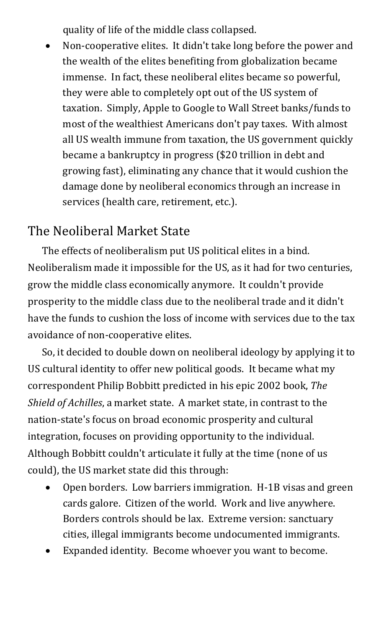quality of life of the middle class collapsed.

• Non-cooperative elites. It didn't take long before the power and the wealth of the elites benefiting from globalization became immense. In fact, these neoliberal elites became so powerful, they were able to completely opt out of the US system of taxation. Simply, Apple to Google to Wall Street banks/funds to most of the wealthiest Americans don't pay taxes. With almost all US wealth immune from taxation, the US government quickly became a bankruptcy in progress (\$20 trillion in debt and growing fast), eliminating any chance that it would cushion the damage done by neoliberal economics through an increase in services (health care, retirement, etc.).

#### The Neoliberal Market State

The effects of neoliberalism put US political elites in a bind. Neoliberalism made it impossible for the US, as it had for two centuries, grow the middle class economically anymore. It couldn't provide prosperity to the middle class due to the neoliberal trade and it didn't have the funds to cushion the loss of income with services due to the tax avoidance of non-cooperative elites.

So, it decided to double down on neoliberal ideology by applying it to US cultural identity to offer new political goods. It became what my correspondent Philip Bobbitt predicted in his epic 2002 book, *The Shield of Achilles*, a market state. A market state, in contrast to the nation-state's focus on broad economic prosperity and cultural integration, focuses on providing opportunity to the individual. Although Bobbitt couldn't articulate it fully at the time (none of us could), the US market state did this through:

- Open borders. Low barriers immigration. H-1B visas and green cards galore. Citizen of the world. Work and live anywhere. Borders controls should be lax. Extreme version: sanctuary cities, illegal immigrants become undocumented immigrants.
- Expanded identity. Become whoever you want to become.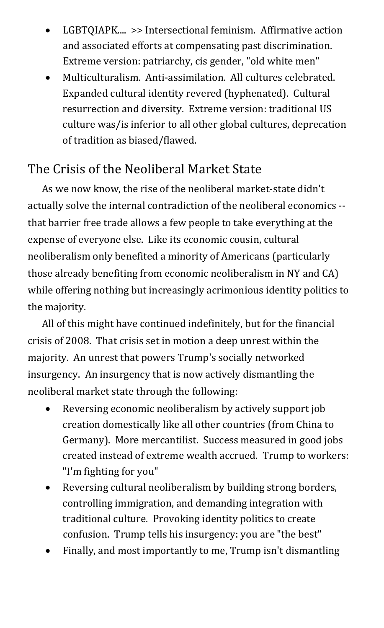- LGBTQIAPK.... >> Intersectional feminism. Affirmative action and associated efforts at compensating past discrimination. Extreme version: patriarchy, cis gender, "old white men"
- Multiculturalism. Anti-assimilation. All cultures celebrated. Expanded cultural identity revered (hyphenated). Cultural resurrection and diversity. Extreme version: traditional US culture was/is inferior to all other global cultures, deprecation of tradition as biased/flawed.

### The Crisis of the Neoliberal Market State

As we now know, the rise of the neoliberal market-state didn't actually solve the internal contradiction of the neoliberal economics - that barrier free trade allows a few people to take everything at the expense of everyone else. Like its economic cousin, cultural neoliberalism only benefited a minority of Americans (particularly those already benefiting from economic neoliberalism in NY and CA) while offering nothing but increasingly acrimonious identity politics to the majority.

All of this might have continued indefinitely, but for the financial crisis of 2008. That crisis set in motion a deep unrest within the majority. An unrest that powers Trump's socially networked insurgency. An insurgency that is now actively dismantling the neoliberal market state through the following:

- Reversing economic neoliberalism by actively support job creation domestically like all other countries (from China to Germany). More mercantilist. Success measured in good jobs created instead of extreme wealth accrued. Trump to workers: "I'm fighting for you"
- Reversing cultural neoliberalism by building strong borders, controlling immigration, and demanding integration with traditional culture. Provoking identity politics to create confusion. Trump tells his insurgency: you are "the best"
- Finally, and most importantly to me, Trump isn't dismantling